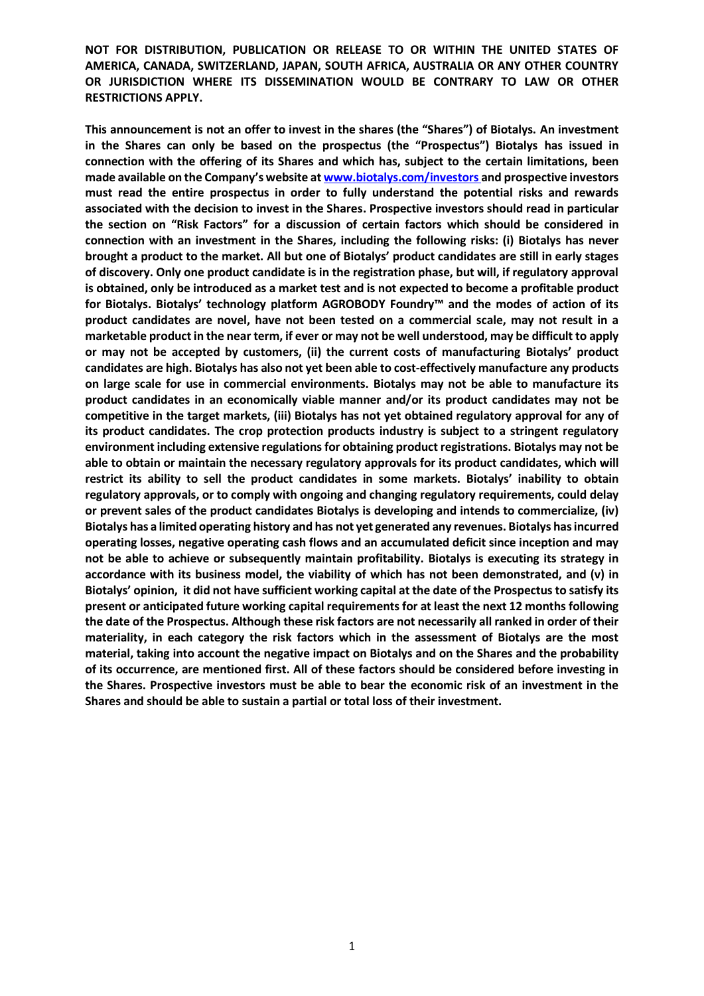**This announcement is not an offer to invest in the shares (the "Shares") of Biotalys. An investment in the Shares can only be based on the prospectus (the "Prospectus") Biotalys has issued in connection with the offering of its Shares and which has, subject to the certain limitations, been made available on the Company's website at [www.biotalys.com/investors](http://www.biotalys.com/investors) and prospective investors must read the entire prospectus in order to fully understand the potential risks and rewards associated with the decision to invest in the Shares. Prospective investors should read in particular the section on "Risk Factors" for a discussion of certain factors which should be considered in connection with an investment in the Shares, including the following risks: (i) Biotalys has never brought a product to the market. All but one of Biotalys' product candidates are still in early stages of discovery. Only one product candidate is in the registration phase, but will, if regulatory approval is obtained, only be introduced as a market test and is not expected to become a profitable product for Biotalys. Biotalys' technology platform AGROBODY Foundry™ and the modes of action of its product candidates are novel, have not been tested on a commercial scale, may not result in a marketable product in the near term, if ever or may not be well understood, may be difficult to apply or may not be accepted by customers, (ii) the current costs of manufacturing Biotalys' product candidates are high. Biotalys has also not yet been able to cost-effectively manufacture any products on large scale for use in commercial environments. Biotalys may not be able to manufacture its product candidates in an economically viable manner and/or its product candidates may not be competitive in the target markets, (iii) Biotalys has not yet obtained regulatory approval for any of its product candidates. The crop protection products industry is subject to a stringent regulatory environment including extensive regulations for obtaining product registrations. Biotalys may not be able to obtain or maintain the necessary regulatory approvals for its product candidates, which will restrict its ability to sell the product candidates in some markets. Biotalys' inability to obtain regulatory approvals, or to comply with ongoing and changing regulatory requirements, could delay or prevent sales of the product candidates Biotalys is developing and intends to commercialize, (iv) Biotalys has a limited operating history and has not yet generated any revenues. Biotalys has incurred operating losses, negative operating cash flows and an accumulated deficit since inception and may not be able to achieve or subsequently maintain profitability. Biotalys is executing its strategy in accordance with its business model, the viability of which has not been demonstrated, and (v) in Biotalys' opinion, it did not have sufficient working capital at the date of the Prospectus to satisfy its present or anticipated future working capital requirements for at least the next 12 months following the date of the Prospectus. Although these risk factors are not necessarily all ranked in order of their materiality, in each category the risk factors which in the assessment of Biotalys are the most material, taking into account the negative impact on Biotalys and on the Shares and the probability of its occurrence, are mentioned first. All of these factors should be considered before investing in the Shares. Prospective investors must be able to bear the economic risk of an investment in the Shares and should be able to sustain a partial or total loss of their investment.**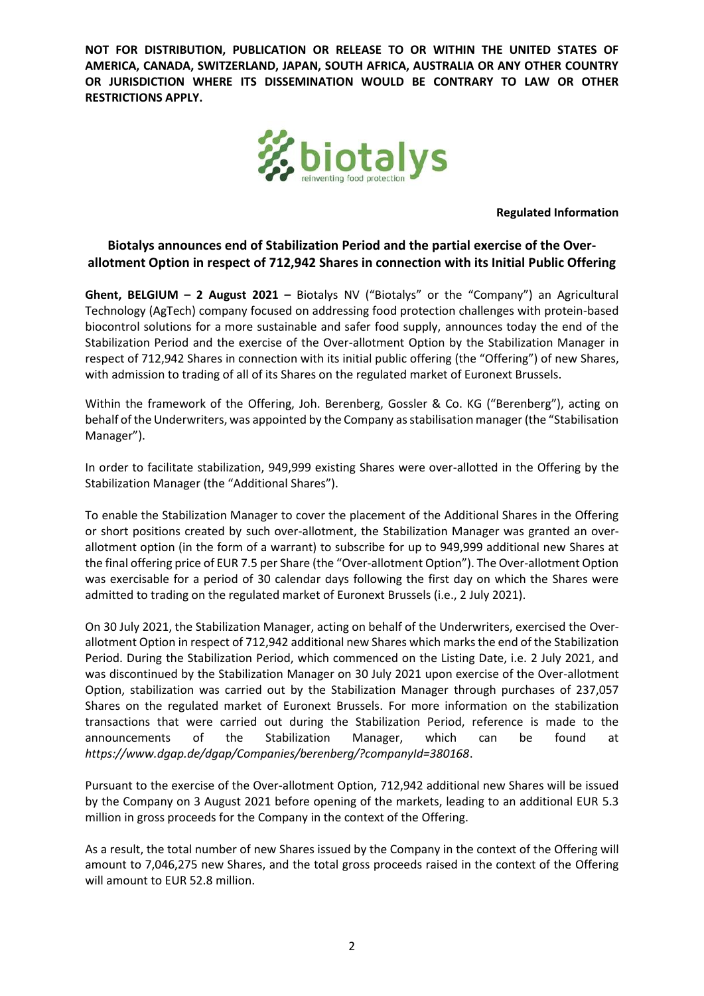

**Regulated Information**

# **Biotalys announces end of Stabilization Period and the partial exercise of the Overallotment Option in respect of 712,942 Shares in connection with its Initial Public Offering**

**Ghent, BELGIUM – 2 August 2021 –** Biotalys NV ("Biotalys" or the "Company") an Agricultural Technology (AgTech) company focused on addressing food protection challenges with protein-based biocontrol solutions for a more sustainable and safer food supply, announces today the end of the Stabilization Period and the exercise of the Over-allotment Option by the Stabilization Manager in respect of 712,942 Shares in connection with its initial public offering (the "Offering") of new Shares, with admission to trading of all of its Shares on the regulated market of Euronext Brussels.

Within the framework of the Offering, Joh. Berenberg, Gossler & Co. KG ("Berenberg"), acting on behalf of the Underwriters, was appointed by the Company as stabilisation manager (the "Stabilisation Manager").

In order to facilitate stabilization, 949,999 existing Shares were over-allotted in the Offering by the Stabilization Manager (the "Additional Shares").

To enable the Stabilization Manager to cover the placement of the Additional Shares in the Offering or short positions created by such over-allotment, the Stabilization Manager was granted an overallotment option (in the form of a warrant) to subscribe for up to 949,999 additional new Shares at the final offering price of EUR 7.5 per Share (the "Over-allotment Option"). The Over-allotment Option was exercisable for a period of 30 calendar days following the first day on which the Shares were admitted to trading on the regulated market of Euronext Brussels (i.e., 2 July 2021).

On 30 July 2021, the Stabilization Manager, acting on behalf of the Underwriters, exercised the Overallotment Option in respect of 712,942 additional new Shares which marks the end of the Stabilization Period. During the Stabilization Period, which commenced on the Listing Date, i.e. 2 July 2021, and was discontinued by the Stabilization Manager on 30 July 2021 upon exercise of the Over-allotment Option, stabilization was carried out by the Stabilization Manager through purchases of 237,057 Shares on the regulated market of Euronext Brussels. For more information on the stabilization transactions that were carried out during the Stabilization Period, reference is made to the announcements of the Stabilization Manager, which can be found at *https://www.dgap.de/dgap/Companies/berenberg/?companyId=380168*.

Pursuant to the exercise of the Over-allotment Option, 712,942 additional new Shares will be issued by the Company on 3 August 2021 before opening of the markets, leading to an additional EUR 5.3 million in gross proceeds for the Company in the context of the Offering.

As a result, the total number of new Shares issued by the Company in the context of the Offering will amount to 7,046,275 new Shares, and the total gross proceeds raised in the context of the Offering will amount to EUR 52.8 million.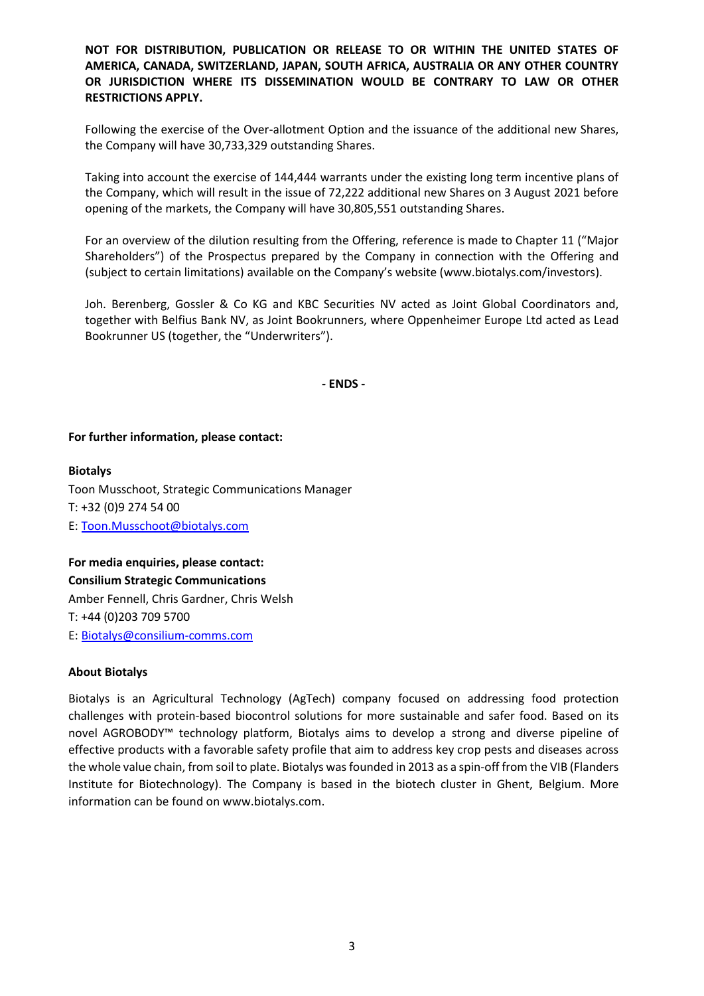Following the exercise of the Over-allotment Option and the issuance of the additional new Shares, the Company will have 30,733,329 outstanding Shares.

Taking into account the exercise of 144,444 warrants under the existing long term incentive plans of the Company, which will result in the issue of 72,222 additional new Shares on 3 August 2021 before opening of the markets, the Company will have 30,805,551 outstanding Shares.

For an overview of the dilution resulting from the Offering, reference is made to Chapter 11 ("Major Shareholders") of the Prospectus prepared by the Company in connection with the Offering and (subject to certain limitations) available on the Company's website ([www.biotalys.com/investors\)](http://www.biotalys.com/investors).

Joh. Berenberg, Gossler & Co KG and KBC Securities NV acted as Joint Global Coordinators and, together with Belfius Bank NV, as Joint Bookrunners, where Oppenheimer Europe Ltd acted as Lead Bookrunner US (together, the "Underwriters").

**- ENDS -**

### **For further information, please contact:**

#### **Biotalys**

Toon Musschoot, Strategic Communications Manager T: +32 (0)9 274 54 00 E: Toon.Musschoot@biotalys.com

**For media enquiries, please contact: Consilium Strategic Communications** Amber Fennell, Chris Gardner, Chris Welsh T: +44 (0)203 709 5700 E: Biotalys@consilium-comms.com

### **About Biotalys**

Biotalys is an Agricultural Technology (AgTech) company focused on addressing food protection challenges with protein-based biocontrol solutions for more sustainable and safer food. Based on its novel AGROBODY™ technology platform, Biotalys aims to develop a strong and diverse pipeline of effective products with a favorable safety profile that aim to address key crop pests and diseases across the whole value chain, from soil to plate. Biotalys was founded in 2013 as a spin-off from the VIB (Flanders Institute for Biotechnology). The Company is based in the biotech cluster in Ghent, Belgium. More information can be found on www.biotalys.com.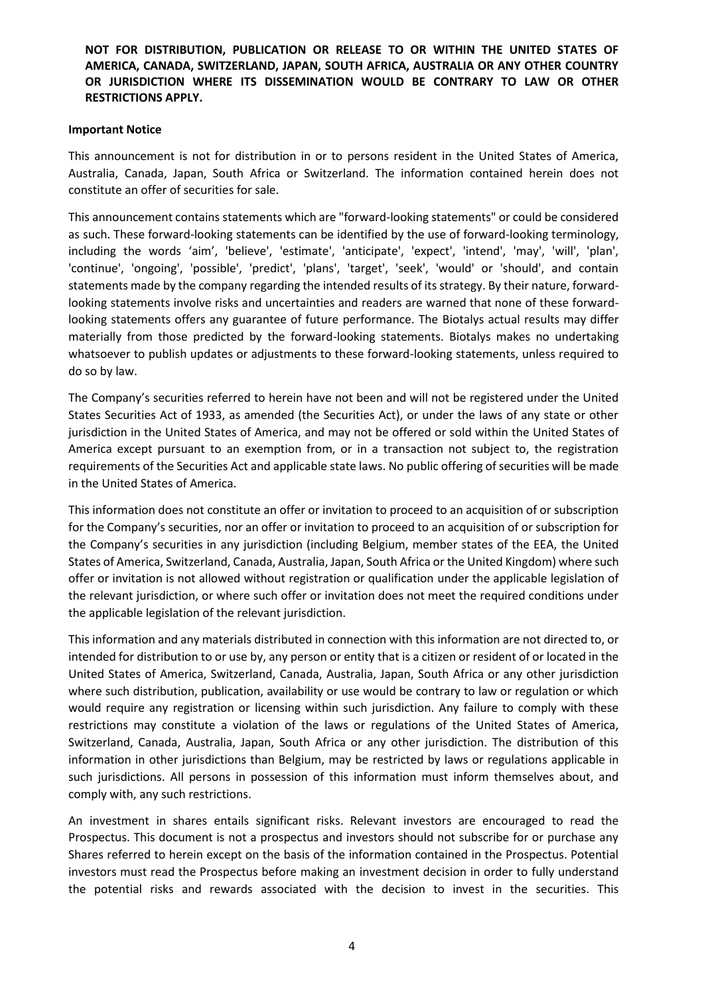#### **Important Notice**

This announcement is not for distribution in or to persons resident in the United States of America, Australia, Canada, Japan, South Africa or Switzerland. The information contained herein does not constitute an offer of securities for sale.

This announcement contains statements which are "forward-looking statements" or could be considered as such. These forward-looking statements can be identified by the use of forward-looking terminology, including the words 'aim', 'believe', 'estimate', 'anticipate', 'expect', 'intend', 'may', 'will', 'plan', 'continue', 'ongoing', 'possible', 'predict', 'plans', 'target', 'seek', 'would' or 'should', and contain statements made by the company regarding the intended results of its strategy. By their nature, forwardlooking statements involve risks and uncertainties and readers are warned that none of these forwardlooking statements offers any guarantee of future performance. The Biotalys actual results may differ materially from those predicted by the forward-looking statements. Biotalys makes no undertaking whatsoever to publish updates or adjustments to these forward-looking statements, unless required to do so by law.

The Company's securities referred to herein have not been and will not be registered under the United States Securities Act of 1933, as amended (the Securities Act), or under the laws of any state or other jurisdiction in the United States of America, and may not be offered or sold within the United States of America except pursuant to an exemption from, or in a transaction not subject to, the registration requirements of the Securities Act and applicable state laws. No public offering of securities will be made in the United States of America.

This information does not constitute an offer or invitation to proceed to an acquisition of or subscription for the Company's securities, nor an offer or invitation to proceed to an acquisition of or subscription for the Company's securities in any jurisdiction (including Belgium, member states of the EEA, the United States of America, Switzerland, Canada, Australia, Japan, South Africa or the United Kingdom) where such offer or invitation is not allowed without registration or qualification under the applicable legislation of the relevant jurisdiction, or where such offer or invitation does not meet the required conditions under the applicable legislation of the relevant jurisdiction.

This information and any materials distributed in connection with this information are not directed to, or intended for distribution to or use by, any person or entity that is a citizen or resident of or located in the United States of America, Switzerland, Canada, Australia, Japan, South Africa or any other jurisdiction where such distribution, publication, availability or use would be contrary to law or regulation or which would require any registration or licensing within such jurisdiction. Any failure to comply with these restrictions may constitute a violation of the laws or regulations of the United States of America, Switzerland, Canada, Australia, Japan, South Africa or any other jurisdiction. The distribution of this information in other jurisdictions than Belgium, may be restricted by laws or regulations applicable in such jurisdictions. All persons in possession of this information must inform themselves about, and comply with, any such restrictions.

An investment in shares entails significant risks. Relevant investors are encouraged to read the Prospectus. This document is not a prospectus and investors should not subscribe for or purchase any Shares referred to herein except on the basis of the information contained in the Prospectus. Potential investors must read the Prospectus before making an investment decision in order to fully understand the potential risks and rewards associated with the decision to invest in the securities. This